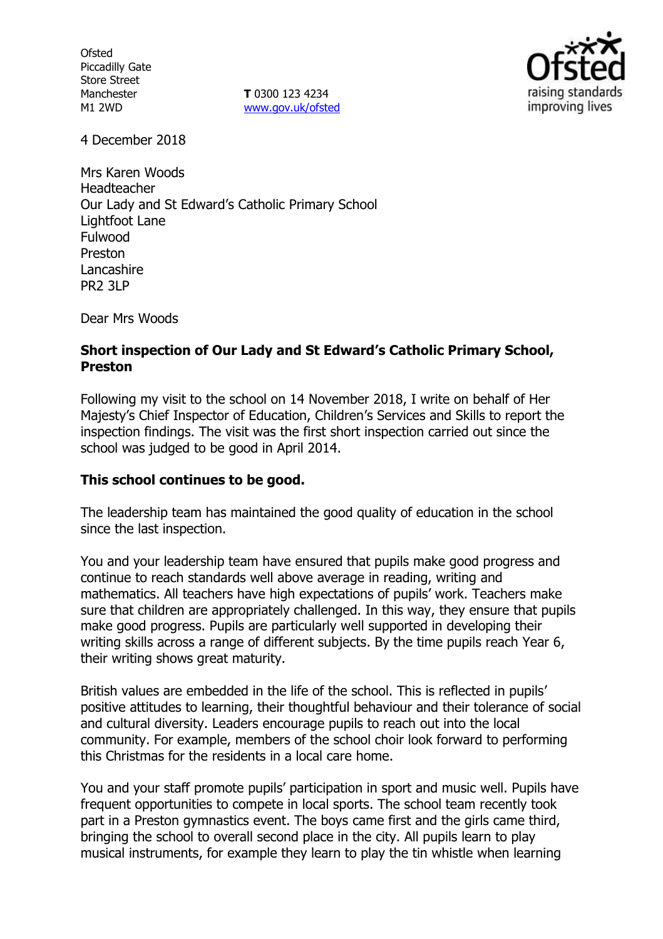**Ofsted** Piccadilly Gate Store Street Manchester M1 2WD

**T** 0300 123 4234 www.gov.uk/ofsted



4 December 2018

Mrs Karen Woods Headteacher Our Lady and St Edward's Catholic Primary School Lightfoot Lane Fulwood Preston Lancashire PR2 3LP

Dear Mrs Woods

#### **Short inspection of Our Lady and St Edward's Catholic Primary School, Preston**

Following my visit to the school on 14 November 2018, I write on behalf of Her Majesty's Chief Inspector of Education, Children's Services and Skills to report the inspection findings. The visit was the first short inspection carried out since the school was judged to be good in April 2014.

### **This school continues to be good.**

The leadership team has maintained the good quality of education in the school since the last inspection.

You and your leadership team have ensured that pupils make good progress and continue to reach standards well above average in reading, writing and mathematics. All teachers have high expectations of pupils' work. Teachers make sure that children are appropriately challenged. In this way, they ensure that pupils make good progress. Pupils are particularly well supported in developing their writing skills across a range of different subjects. By the time pupils reach Year 6, their writing shows great maturity.

British values are embedded in the life of the school. This is reflected in pupils' positive attitudes to learning, their thoughtful behaviour and their tolerance of social and cultural diversity. Leaders encourage pupils to reach out into the local community. For example, members of the school choir look forward to performing this Christmas for the residents in a local care home.

You and your staff promote pupils' participation in sport and music well. Pupils have frequent opportunities to compete in local sports. The school team recently took part in a Preston gymnastics event. The boys came first and the girls came third, bringing the school to overall second place in the city. All pupils learn to play musical instruments, for example they learn to play the tin whistle when learning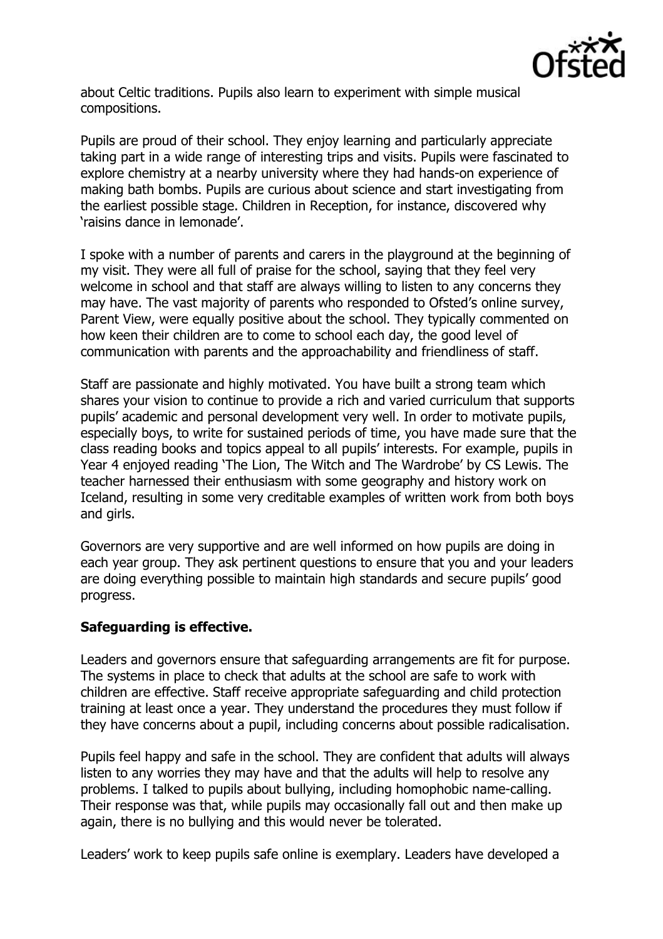

about Celtic traditions. Pupils also learn to experiment with simple musical compositions.

Pupils are proud of their school. They enjoy learning and particularly appreciate taking part in a wide range of interesting trips and visits. Pupils were fascinated to explore chemistry at a nearby university where they had hands-on experience of making bath bombs. Pupils are curious about science and start investigating from the earliest possible stage. Children in Reception, for instance, discovered why 'raisins dance in lemonade'.

I spoke with a number of parents and carers in the playground at the beginning of my visit. They were all full of praise for the school, saying that they feel very welcome in school and that staff are always willing to listen to any concerns they may have. The vast majority of parents who responded to Ofsted's online survey, Parent View, were equally positive about the school. They typically commented on how keen their children are to come to school each day, the good level of communication with parents and the approachability and friendliness of staff.

Staff are passionate and highly motivated. You have built a strong team which shares your vision to continue to provide a rich and varied curriculum that supports pupils' academic and personal development very well. In order to motivate pupils, especially boys, to write for sustained periods of time, you have made sure that the class reading books and topics appeal to all pupils' interests. For example, pupils in Year 4 enjoyed reading 'The Lion, The Witch and The Wardrobe' by CS Lewis. The teacher harnessed their enthusiasm with some geography and history work on Iceland, resulting in some very creditable examples of written work from both boys and girls.

Governors are very supportive and are well informed on how pupils are doing in each year group. They ask pertinent questions to ensure that you and your leaders are doing everything possible to maintain high standards and secure pupils' good progress.

# **Safeguarding is effective.**

Leaders and governors ensure that safeguarding arrangements are fit for purpose. The systems in place to check that adults at the school are safe to work with children are effective. Staff receive appropriate safeguarding and child protection training at least once a year. They understand the procedures they must follow if they have concerns about a pupil, including concerns about possible radicalisation.

Pupils feel happy and safe in the school. They are confident that adults will always listen to any worries they may have and that the adults will help to resolve any problems. I talked to pupils about bullying, including homophobic name-calling. Their response was that, while pupils may occasionally fall out and then make up again, there is no bullying and this would never be tolerated.

Leaders' work to keep pupils safe online is exemplary. Leaders have developed a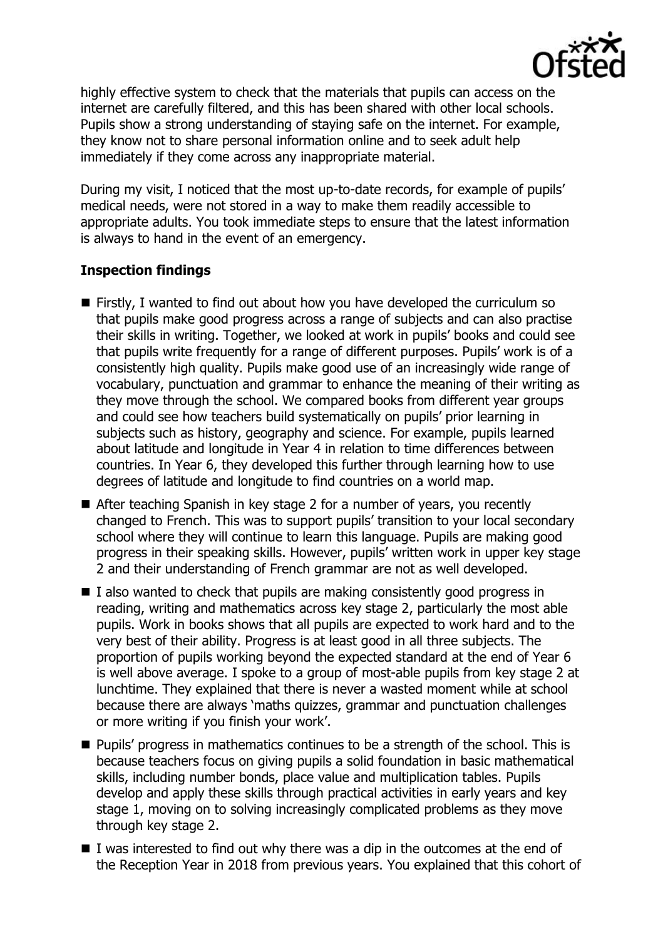

highly effective system to check that the materials that pupils can access on the internet are carefully filtered, and this has been shared with other local schools. Pupils show a strong understanding of staying safe on the internet. For example, they know not to share personal information online and to seek adult help immediately if they come across any inappropriate material.

During my visit, I noticed that the most up-to-date records, for example of pupils' medical needs, were not stored in a way to make them readily accessible to appropriate adults. You took immediate steps to ensure that the latest information is always to hand in the event of an emergency.

## **Inspection findings**

- Firstly, I wanted to find out about how you have developed the curriculum so that pupils make good progress across a range of subjects and can also practise their skills in writing. Together, we looked at work in pupils' books and could see that pupils write frequently for a range of different purposes. Pupils' work is of a consistently high quality. Pupils make good use of an increasingly wide range of vocabulary, punctuation and grammar to enhance the meaning of their writing as they move through the school. We compared books from different year groups and could see how teachers build systematically on pupils' prior learning in subjects such as history, geography and science. For example, pupils learned about latitude and longitude in Year 4 in relation to time differences between countries. In Year 6, they developed this further through learning how to use degrees of latitude and longitude to find countries on a world map.
- After teaching Spanish in key stage 2 for a number of years, you recently changed to French. This was to support pupils' transition to your local secondary school where they will continue to learn this language. Pupils are making good progress in their speaking skills. However, pupils' written work in upper key stage 2 and their understanding of French grammar are not as well developed.
- $\blacksquare$  I also wanted to check that pupils are making consistently good progress in reading, writing and mathematics across key stage 2, particularly the most able pupils. Work in books shows that all pupils are expected to work hard and to the very best of their ability. Progress is at least good in all three subjects. The proportion of pupils working beyond the expected standard at the end of Year 6 is well above average. I spoke to a group of most-able pupils from key stage 2 at lunchtime. They explained that there is never a wasted moment while at school because there are always 'maths quizzes, grammar and punctuation challenges or more writing if you finish your work'.
- **Pupils' progress in mathematics continues to be a strength of the school. This is** because teachers focus on giving pupils a solid foundation in basic mathematical skills, including number bonds, place value and multiplication tables. Pupils develop and apply these skills through practical activities in early years and key stage 1, moving on to solving increasingly complicated problems as they move through key stage 2.
- $\blacksquare$  I was interested to find out why there was a dip in the outcomes at the end of the Reception Year in 2018 from previous years. You explained that this cohort of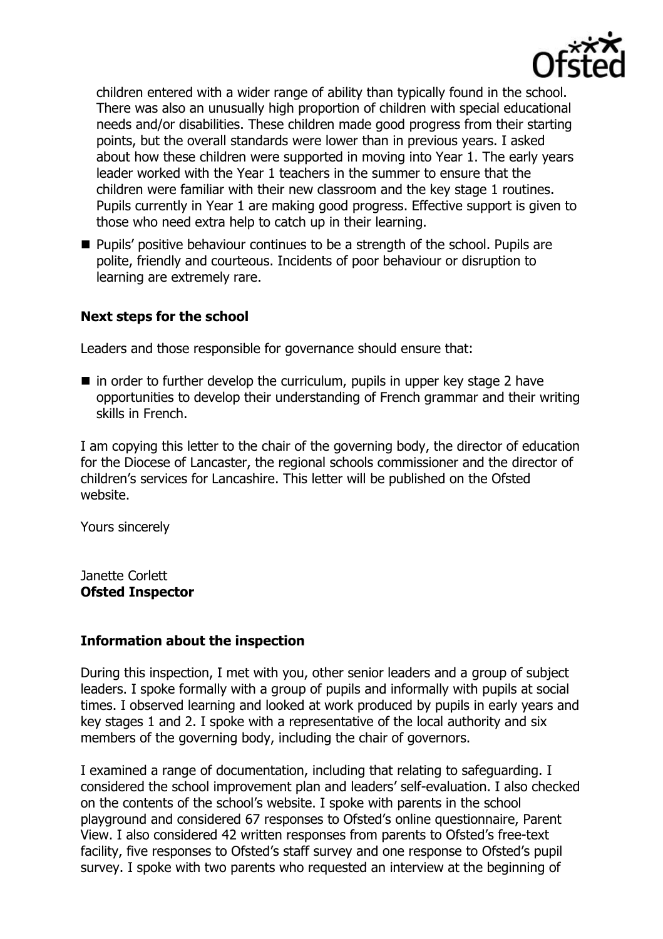

children entered with a wider range of ability than typically found in the school. There was also an unusually high proportion of children with special educational needs and/or disabilities. These children made good progress from their starting points, but the overall standards were lower than in previous years. I asked about how these children were supported in moving into Year 1. The early years leader worked with the Year 1 teachers in the summer to ensure that the children were familiar with their new classroom and the key stage 1 routines. Pupils currently in Year 1 are making good progress. Effective support is given to those who need extra help to catch up in their learning.

**Pupils'** positive behaviour continues to be a strength of the school. Pupils are polite, friendly and courteous. Incidents of poor behaviour or disruption to learning are extremely rare.

### **Next steps for the school**

Leaders and those responsible for governance should ensure that:

 $\blacksquare$  in order to further develop the curriculum, pupils in upper key stage 2 have opportunities to develop their understanding of French grammar and their writing skills in French.

I am copying this letter to the chair of the governing body, the director of education for the Diocese of Lancaster, the regional schools commissioner and the director of children's services for Lancashire. This letter will be published on the Ofsted website.

Yours sincerely

Janette Corlett **Ofsted Inspector**

### **Information about the inspection**

During this inspection, I met with you, other senior leaders and a group of subject leaders. I spoke formally with a group of pupils and informally with pupils at social times. I observed learning and looked at work produced by pupils in early years and key stages 1 and 2. I spoke with a representative of the local authority and six members of the governing body, including the chair of governors.

I examined a range of documentation, including that relating to safeguarding. I considered the school improvement plan and leaders' self-evaluation. I also checked on the contents of the school's website. I spoke with parents in the school playground and considered 67 responses to Ofsted's online questionnaire, Parent View. I also considered 42 written responses from parents to Ofsted's free-text facility, five responses to Ofsted's staff survey and one response to Ofsted's pupil survey. I spoke with two parents who requested an interview at the beginning of